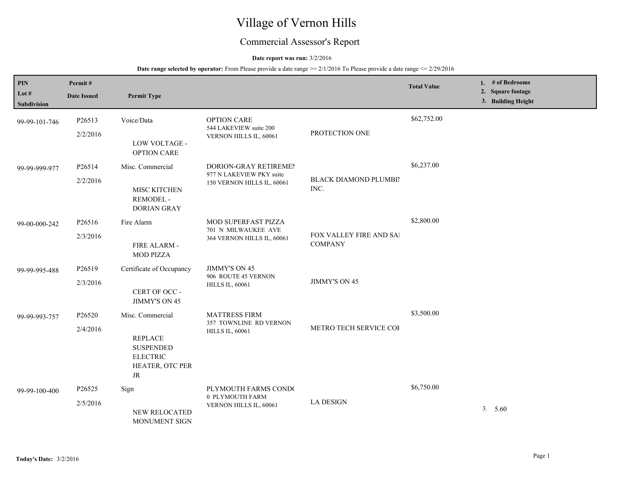# Village of Vernon Hills

## Commercial Assessor's Report

#### **Date report was run:** 3/2/2016

| PIN<br>Lot #<br>Subdivision | Permit#<br><b>Date Issued</b> | <b>Permit Type</b>                                                                                       |                                                                                 |                                           | <b>Total Value</b> | 1. $#$ of Bedrooms<br>2. Square footage<br>3. Building Height |
|-----------------------------|-------------------------------|----------------------------------------------------------------------------------------------------------|---------------------------------------------------------------------------------|-------------------------------------------|--------------------|---------------------------------------------------------------|
| 99-99-101-746               | P26513<br>2/2/2016            | Voice/Data<br>LOW VOLTAGE -<br><b>OPTION CARE</b>                                                        | <b>OPTION CARE</b><br>544 LAKEVIEW suite 200<br>VERNON HILLS IL, 60061          | PROTECTION ONE                            | \$62,752.00        |                                                               |
| 99-99-999-977               | P26514<br>2/2/2016            | Misc. Commercial<br>MISC KITCHEN<br>REMODEL -<br><b>DORIAN GRAY</b>                                      | DORION-GRAY RETIREMEN<br>977 N LAKEVIEW PKY suite<br>150 VERNON HILLS IL, 60061 | BLACK DIAMOND PLUMBII<br>INC.             | \$6,237.00         |                                                               |
| 99-00-000-242               | P26516<br>2/3/2016            | Fire Alarm<br>FIRE ALARM -<br><b>MOD PIZZA</b>                                                           | MOD SUPERFAST PIZZA<br>701 N MILWAUKEE AVE<br>364 VERNON HILLS IL, 60061        | FOX VALLEY FIRE AND SAI<br><b>COMPANY</b> | \$2,800.00         |                                                               |
| 99-99-995-488               | P26519<br>2/3/2016            | Certificate of Occupancy<br>CERT OF OCC -<br>JIMMY'S ON 45                                               | <b>JIMMY'S ON 45</b><br>906 ROUTE 45 VERNON<br><b>HILLS IL, 60061</b>           | JIMMY'S ON 45                             |                    |                                                               |
| 99-99-993-757               | P26520<br>2/4/2016            | Misc. Commercial<br><b>REPLACE</b><br><b>SUSPENDED</b><br><b>ELECTRIC</b><br>HEATER, OTC PER<br>$\rm JR$ | <b>MATTRESS FIRM</b><br>357 TOWNLINE RD VERNON<br><b>HILLS IL, 60061</b>        | METRO TECH SERVICE COI                    | \$3,500.00         |                                                               |
| 99-99-100-400               | P26525<br>2/5/2016            | Sign<br>NEW RELOCATED<br>MONUMENT SIGN                                                                   | PLYMOUTH FARMS COND(<br>0 PLYMOUTH FARM<br>VERNON HILLS IL, 60061               | <b>LA DESIGN</b>                          | \$6,750.00         | 3. 5.60                                                       |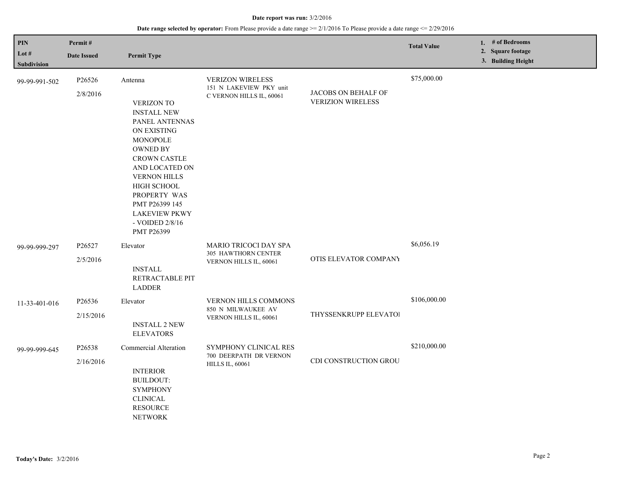| <b>PIN</b><br>Lot $#$<br><b>Subdivision</b> | Permit#<br><b>Date Issued</b> | <b>Permit Type</b>                                                                                                                                                                                                                                                                             |                                                                                |                                                 | <b>Total Value</b> | 1. # of Bedrooms<br>2. Square footage<br>3. Building Height |
|---------------------------------------------|-------------------------------|------------------------------------------------------------------------------------------------------------------------------------------------------------------------------------------------------------------------------------------------------------------------------------------------|--------------------------------------------------------------------------------|-------------------------------------------------|--------------------|-------------------------------------------------------------|
| 99-99-991-502                               | P26526<br>2/8/2016            | Antenna<br><b>VERIZON TO</b><br><b>INSTALL NEW</b><br>PANEL ANTENNAS<br>ON EXISTING<br>MONOPOLE<br><b>OWNED BY</b><br><b>CROWN CASTLE</b><br>AND LOCATED ON<br><b>VERNON HILLS</b><br>HIGH SCHOOL<br>PROPERTY WAS<br>PMT P26399 145<br><b>LAKEVIEW PKWY</b><br>- VOIDED $2/8/16$<br>PMT P26399 | <b>VERIZON WIRELESS</b><br>151 N LAKEVIEW PKY unit<br>C VERNON HILLS IL, 60061 | JACOBS ON BEHALF OF<br><b>VERIZION WIRELESS</b> | \$75,000.00        |                                                             |
| 99-99-999-297                               | P26527<br>2/5/2016            | Elevator<br><b>INSTALL</b><br>RETRACTABLE PIT<br><b>LADDER</b>                                                                                                                                                                                                                                 | MARIO TRICOCI DAY SPA<br>305 HAWTHORN CENTER<br>VERNON HILLS IL, 60061         | OTIS ELEVATOR COMPANY                           | \$6,056.19         |                                                             |
| 11-33-401-016                               | P26536<br>2/15/2016           | Elevator<br><b>INSTALL 2 NEW</b><br><b>ELEVATORS</b>                                                                                                                                                                                                                                           | VERNON HILLS COMMONS<br>850 N MILWAUKEE AV<br>VERNON HILLS IL, 60061           | THYSSENKRUPP ELEVATOI                           | \$106,000.00       |                                                             |
| 99-99-999-645                               | P26538<br>2/16/2016           | Commercial Alteration<br><b>INTERIOR</b><br><b>BUILDOUT:</b><br><b>SYMPHONY</b><br><b>CLINICAL</b><br><b>RESOURCE</b><br><b>NETWORK</b>                                                                                                                                                        | SYMPHONY CLINICAL RES<br>700 DEERPATH DR VERNON<br><b>HILLS IL, 60061</b>      | CDI CONSTRUCTION GROU                           | \$210,000.00       |                                                             |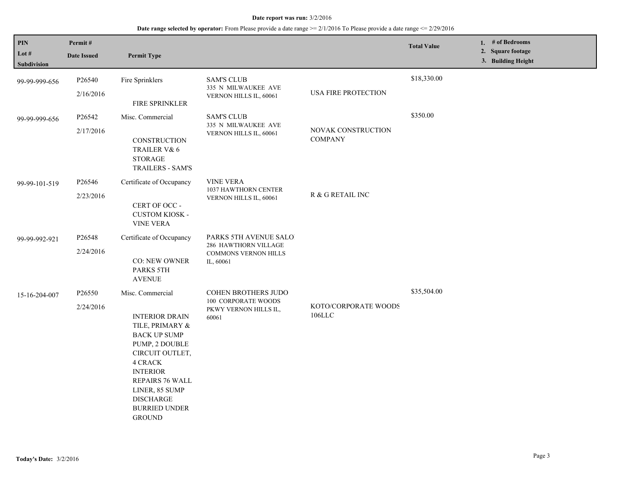| PIN<br>Lot $#$<br>Subdivision | Permit#<br><b>Date Issued</b> | <b>Permit Type</b>                                                                                                                                                                                                                                              |                                                                                            |                                          | <b>Total Value</b> | 1. $#$ of Bedrooms<br>2. Square footage<br>3. Building Height |
|-------------------------------|-------------------------------|-----------------------------------------------------------------------------------------------------------------------------------------------------------------------------------------------------------------------------------------------------------------|--------------------------------------------------------------------------------------------|------------------------------------------|--------------------|---------------------------------------------------------------|
| 99-99-999-656                 | P26540<br>2/16/2016           | Fire Sprinklers<br>FIRE SPRINKLER                                                                                                                                                                                                                               | <b>SAM'S CLUB</b><br>335 N MILWAUKEE AVE<br>VERNON HILLS IL, 60061                         | <b>USA FIRE PROTECTION</b>               | \$18,330.00        |                                                               |
| 99-99-999-656                 | P26542<br>2/17/2016           | Misc. Commercial<br>CONSTRUCTION<br>TRAILER V& 6<br><b>STORAGE</b><br><b>TRAILERS - SAM'S</b>                                                                                                                                                                   | <b>SAM'S CLUB</b><br>335 N MILWAUKEE AVE<br>VERNON HILLS IL, 60061                         | NOVAK CONSTRUCTION<br><b>COMPANY</b>     | \$350.00           |                                                               |
| 99-99-101-519                 | P26546<br>2/23/2016           | Certificate of Occupancy<br>CERT OF OCC -<br><b>CUSTOM KIOSK -</b><br><b>VINE VERA</b>                                                                                                                                                                          | <b>VINE VERA</b><br>1037 HAWTHORN CENTER<br>VERNON HILLS IL, 60061                         | $\mathbb R$ & $\mathbb G$ RETAIL INC     |                    |                                                               |
| 99-99-992-921                 | P26548<br>2/24/2016           | Certificate of Occupancy<br><b>CO: NEW OWNER</b><br><b>PARKS 5TH</b><br><b>AVENUE</b>                                                                                                                                                                           | PARKS 5TH AVENUE SALO.<br>286 HAWTHORN VILLAGE<br><b>COMMONS VERNON HILLS</b><br>IL, 60061 |                                          |                    |                                                               |
| 15-16-204-007                 | P26550<br>2/24/2016           | Misc. Commercial<br><b>INTERIOR DRAIN</b><br>TILE, PRIMARY &<br><b>BACK UP SUMP</b><br>PUMP, 2 DOUBLE<br>CIRCUIT OUTLET,<br><b>4 CRACK</b><br><b>INTERIOR</b><br>REPAIRS 76 WALL<br>LINER, 85 SUMP<br><b>DISCHARGE</b><br><b>BURRIED UNDER</b><br><b>GROUND</b> | COHEN BROTHERS JUDO<br>100 CORPORATE WOODS<br>PKWY VERNON HILLS IL,<br>60061               | KOTO/CORPORATE WOODS<br>$106 \mbox{LLC}$ | \$35,504.00        |                                                               |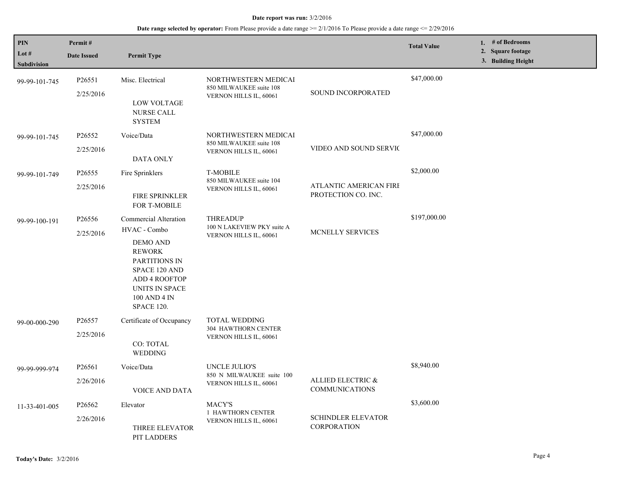| PIN<br>Lot #<br><b>Subdivision</b> | Permit#<br><b>Date Issued</b>   | <b>Permit Type</b>                                                                                                                                                                  |                                                                           |                                                      | <b>Total Value</b> | 1. # of Bedrooms<br>2. Square footage<br>3. Building Height |
|------------------------------------|---------------------------------|-------------------------------------------------------------------------------------------------------------------------------------------------------------------------------------|---------------------------------------------------------------------------|------------------------------------------------------|--------------------|-------------------------------------------------------------|
| 99-99-101-745                      | P26551<br>2/25/2016             | Misc. Electrical<br><b>LOW VOLTAGE</b><br>NURSE CALL<br><b>SYSTEM</b>                                                                                                               | NORTHWESTERN MEDICAI<br>850 MILWAUKEE suite 108<br>VERNON HILLS IL, 60061 | <b>SOUND INCORPORATED</b>                            | \$47,000.00        |                                                             |
| 99-99-101-745                      | P26552<br>2/25/2016             | Voice/Data<br>DATA ONLY                                                                                                                                                             | NORTHWESTERN MEDICAI<br>850 MILWAUKEE suite 108<br>VERNON HILLS IL, 60061 | VIDEO AND SOUND SERVIC                               | \$47,000.00        |                                                             |
| 99-99-101-749                      | P <sub>26555</sub><br>2/25/2016 | Fire Sprinklers<br><b>FIRE SPRINKLER</b><br>FOR T-MOBILE                                                                                                                            | <b>T-MOBILE</b><br>850 MILWAUKEE suite 104<br>VERNON HILLS IL, 60061      | <b>ATLANTIC AMERICAN FIRE</b><br>PROTECTION CO. INC. | \$2,000.00         |                                                             |
| 99-99-100-191                      | P26556<br>2/25/2016             | Commercial Alteration<br>HVAC - Combo<br><b>DEMO AND</b><br><b>REWORK</b><br>PARTITIONS IN<br>SPACE 120 AND<br><b>ADD 4 ROOFTOP</b><br>UNITS IN SPACE<br>100 AND 4 IN<br>SPACE 120. | <b>THREADUP</b><br>100 N LAKEVIEW PKY suite A<br>VERNON HILLS IL, 60061   | MCNELLY SERVICES                                     | \$197,000.00       |                                                             |
| 99-00-000-290                      | P <sub>26557</sub><br>2/25/2016 | Certificate of Occupancy<br>CO: TOTAL<br>WEDDING                                                                                                                                    | <b>TOTAL WEDDING</b><br>304 HAWTHORN CENTER<br>VERNON HILLS IL, 60061     |                                                      |                    |                                                             |
| 99-99-999-974                      | P26561<br>2/26/2016             | Voice/Data<br><b>VOICE AND DATA</b>                                                                                                                                                 | UNCLE JULIO'S<br>850 N MILWAUKEE suite 100<br>VERNON HILLS IL, 60061      | ALLIED ELECTRIC &<br><b>COMMUNICATIONS</b>           | \$8,940.00         |                                                             |
| 11-33-401-005                      | P26562<br>2/26/2016             | Elevator<br>THREE ELEVATOR<br>PIT LADDERS                                                                                                                                           | MACY'S<br>1 HAWTHORN CENTER<br>VERNON HILLS IL, 60061                     | <b>SCHINDLER ELEVATOR</b><br><b>CORPORATION</b>      | \$3,600.00         |                                                             |